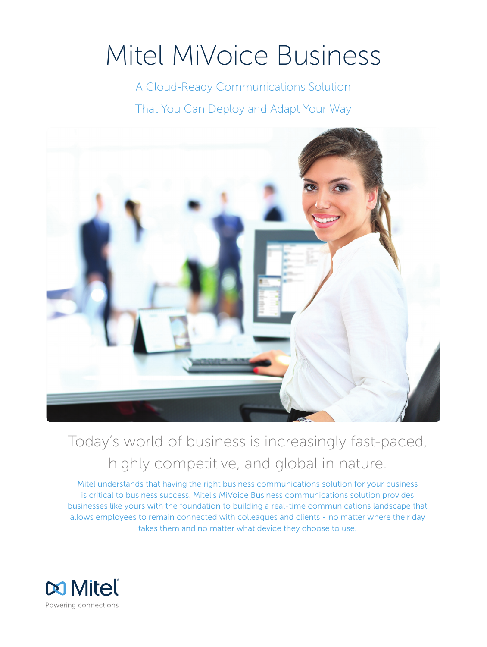# Mitel MiVoice Business

A Cloud-Ready Communications Solution That You Can Deploy and Adapt Your Way



## Today's world of business is increasingly fast-paced, highly competitive, and global in nature.

Mitel understands that having the right business communications solution for your business is critical to business success. Mitel's MiVoice Business communications solution provides businesses like yours with the foundation to building a real-time communications landscape that allows employees to remain connected with colleagues and clients - no matter where their day takes them and no matter what device they choose to use.

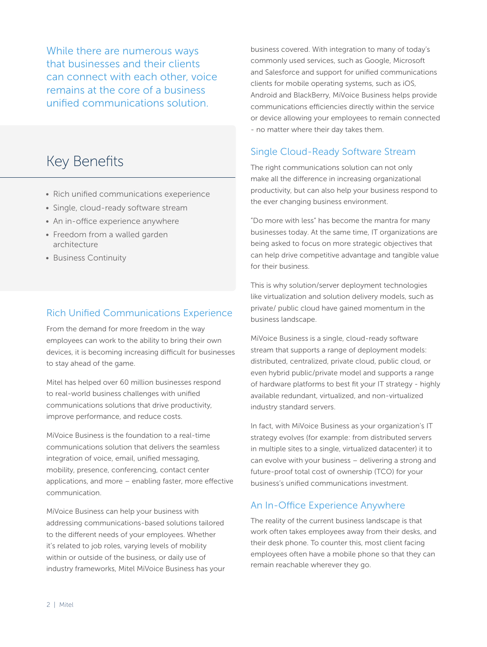While there are numerous ways that businesses and their clients can connect with each other, voice remains at the core of a business unified communications solution.

### Key Benefits

- Rich unified communications exeperience
- Single, cloud-ready software stream
- An in-office experience anywhere
- Freedom from a walled garden architecture
- Business Continuity

#### Rich Unified Communications Experience

From the demand for more freedom in the way employees can work to the ability to bring their own devices, it is becoming increasing difficult for businesses to stay ahead of the game.

Mitel has helped over 60 million businesses respond to real-world business challenges with unified communications solutions that drive productivity, improve performance, and reduce costs.

MiVoice Business is the foundation to a real-time communications solution that delivers the seamless integration of voice, email, unified messaging, mobility, presence, conferencing, contact center applications, and more – enabling faster, more effective communication.

MiVoice Business can help your business with addressing communications-based solutions tailored to the different needs of your employees. Whether it's related to job roles, varying levels of mobility within or outside of the business, or daily use of industry frameworks, Mitel MiVoice Business has your

business covered. With integration to many of today's commonly used services, such as Google, Microsoft and Salesforce and support for unified communications clients for mobile operating systems, such as iOS, Android and BlackBerry, MiVoice Business helps provide communications efficiencies directly within the service or device allowing your employees to remain connected - no matter where their day takes them.

#### Single Cloud-Ready Software Stream

The right communications solution can not only make all the difference in increasing organizational productivity, but can also help your business respond to the ever changing business environment.

"Do more with less" has become the mantra for many businesses today. At the same time, IT organizations are being asked to focus on more strategic objectives that can help drive competitive advantage and tangible value for their business.

This is why solution/server deployment technologies like virtualization and solution delivery models, such as private/ public cloud have gained momentum in the business landscape.

MiVoice Business is a single, cloud-ready software stream that supports a range of deployment models: distributed, centralized, private cloud, public cloud, or even hybrid public/private model and supports a range of hardware platforms to best fit your IT strategy - highly available redundant, virtualized, and non-virtualized industry standard servers.

In fact, with MiVoice Business as your organization's IT strategy evolves (for example: from distributed servers in multiple sites to a single, virtualized datacenter) it to can evolve with your business – delivering a strong and future-proof total cost of ownership (TCO) for your business's unified communications investment.

#### An In-Office Experience Anywhere

The reality of the current business landscape is that work often takes employees away from their desks, and their desk phone. To counter this, most client facing employees often have a mobile phone so that they can remain reachable wherever they go.